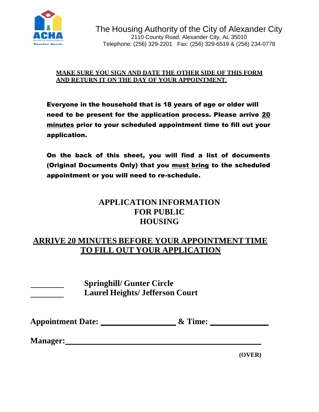

# **MAKE SURE YOU SIGN AND DATE THE OTHER SIDE OF THIS FORM AND RETURN IT ON THE DAY OF YOUR APPOINTMENT.**

Everyone in the household that is 18 years of age or older will need to be present for the application process. Please arrive 20 minutes prior to your scheduled appointment time to fill out your application.

On the back of this sheet, you will find a list of documents (Original Documents Only) that you must bring to the scheduled appointment or you will need to re-schedule.

# **APPLICATION INFORMATION FOR PUBLIC HOUSING**

# **ARRIVE 20 MINUTES BEFORE YOUR APPOINTMENT TIME TO FILL OUT YOUR APPLICATION**

| <b>Springhill/ Gunter Circle</b>       |
|----------------------------------------|
| <b>Laurel Heights/ Jefferson Court</b> |

| <b>Appointment Date:</b> | & Time: |
|--------------------------|---------|
|--------------------------|---------|

**Manager:**

**(OVER)**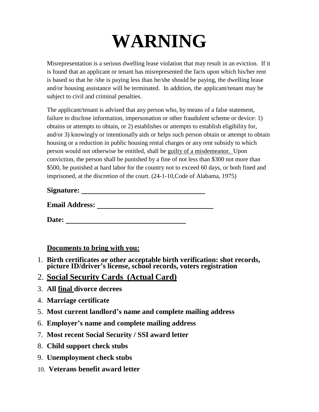# **WARNING**

Misrepresentation is a serious dwelling lease violation that may result in an eviction. If it is found that an applicant or tenant has misrepresented the facts upon which his/her rent is based so that he /she is paying less than he/she should be paying, the dwelling lease and/or housing assistance will be terminated. In addition, the applicant/tenant may be subject to civil and criminal penalties.

The applicant/tenant is advised that any person who, by means of a false statement, failure to disclose information, impersonation or other fraudulent scheme or device: 1) obtains or attempts to obtain, or 2) establishes or attempts to establish eligibility for, and/or 3) knowingly or intentionally aids or helps such person obtain or attempt to obtain housing or a reduction in public housing rental charges or any rent subsidy to which person would not otherwise be entitled, shall be guilty of a misdemeanor. Upon conviction, the person shall be punished by a fine of not less than \$300 not more than \$500, be punished at hard labor for the country not to exceed 60 days, or both fined and imprisoned, at the discretion of the court. (24-1-10,Code of Alabama, 1975)

| <b>Signature:</b> |  |
|-------------------|--|
|                   |  |

**Email Address:**

**Date:** 

**Documents to bring with you:**

- 1. **Birth certificates or other acceptable birth verification: shot records, picture ID/driver's license, school records, voters registration**
- 2. **Social Security Cards (Actual Card)**
- 3. **All final divorce decrees**
- 4. **Marriage certificate**
- 5. **Most current landlord's name and complete mailing address**
- 6. **Employer's name and complete mailing address**
- 7. **Most recent Social Security / SSI award letter**
- 8. **Child support check stubs**
- 9. **Unemployment check stubs**
- 10. **Veterans benefit award letter**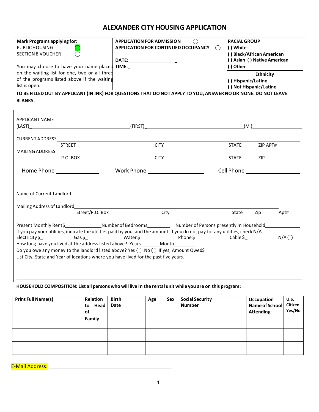# **ALEXANDER CITY HOUSING APPLICATION**

| Mark Programs applying for:                   | <b>APPLICATION FOR ADMISSION</b>    | <b>RACIAL GROUP</b>           |
|-----------------------------------------------|-------------------------------------|-------------------------------|
| PUBLIC HOUSING                                | APPLICATION FOR CONTINUED OCCUPANCY | ) White                       |
| <b>SECTION 8 VOUCHER</b>                      |                                     | <b>Black/African American</b> |
|                                               | <b>DATE:</b>                        | () Asian () Native American   |
| You may choose to have your name placed TIME: |                                     | ( ) Other                     |
| on the waiting list for one, two or all three |                                     | <b>Ethnicity</b>              |
| of the programs listed above if the waiting   |                                     | () Hispanic/Latino            |
| list is open.                                 |                                     | ) Not Hispanic/Latino         |

TO BE FILLED OUT BY APPLICANT (IN INK) FOR QUESTIONS THAT DO NOT APPLY TO YOU, ANSWER NO OR NONE. DO NOT LEAVE **BLANKS.**

| <b>APPLICANT NAME</b>                                                                                                                                                                                                                                                                                                                                                                                                                                                                                                                                          |                              |                                                                                    |  |              |          |      |
|----------------------------------------------------------------------------------------------------------------------------------------------------------------------------------------------------------------------------------------------------------------------------------------------------------------------------------------------------------------------------------------------------------------------------------------------------------------------------------------------------------------------------------------------------------------|------------------------------|------------------------------------------------------------------------------------|--|--------------|----------|------|
|                                                                                                                                                                                                                                                                                                                                                                                                                                                                                                                                                                |                              |                                                                                    |  |              |          |      |
|                                                                                                                                                                                                                                                                                                                                                                                                                                                                                                                                                                |                              |                                                                                    |  |              |          |      |
|                                                                                                                                                                                                                                                                                                                                                                                                                                                                                                                                                                | <b>STREET</b>                | <b>CITY</b>                                                                        |  | <b>STATE</b> | ZIP APT# |      |
|                                                                                                                                                                                                                                                                                                                                                                                                                                                                                                                                                                | P.O. BOX                     | <b>CITY</b>                                                                        |  | STATE ZIP    |          |      |
|                                                                                                                                                                                                                                                                                                                                                                                                                                                                                                                                                                | Home Phone _________________ | Work Phone $\_\_\_\_\_\_\_\_\_\_\_\_\_\_\_\_\_\_\_\_\_$                            |  |              |          |      |
|                                                                                                                                                                                                                                                                                                                                                                                                                                                                                                                                                                | Street/P.O. Box              | City                                                                               |  | State        | Zip      | Apt# |
|                                                                                                                                                                                                                                                                                                                                                                                                                                                                                                                                                                |                              | Present Monthly Rent\$ Mumber of Bedrooms Number of Persons presently in Household |  |              |          |      |
| If you pay your utilities, indicate the utilities paid by you, and the amount. If you do not pay for any utilities, check N/A.<br>Electricity \$ _____________Gas \$ ________________Water \$ ______________Phone \$ _____________Cable \$ ________________N/A $\bigcirc$<br>How long have you lived at the address listed above? Years________Month_________<br>Do you owe any money to the landlord listed above? Yes $\bigcirc$ No $\bigcirc$ If yes, Amount Owed\$<br>List City, State and Year of locations where you have lived for the past five years. |                              |                                                                                    |  |              |          |      |
|                                                                                                                                                                                                                                                                                                                                                                                                                                                                                                                                                                |                              |                                                                                    |  |              |          |      |

#### HOUSEHOLD COMPOSITION: List all persons who will live in the rental unit while you are on this program:

| <b>Print Full Name(s)</b> | Relation<br>Head<br>to<br>οf<br>Family | <b>Birth</b><br>Date | Age | Sex | <b>Social Security</b><br><b>Number</b> | Occupation<br>Name of School<br><b>Attending</b> | <b>U.S.</b><br>Citizen<br>Yes/No |
|---------------------------|----------------------------------------|----------------------|-----|-----|-----------------------------------------|--------------------------------------------------|----------------------------------|
|                           |                                        |                      |     |     |                                         |                                                  |                                  |
|                           |                                        |                      |     |     |                                         |                                                  |                                  |
|                           |                                        |                      |     |     |                                         |                                                  |                                  |
|                           |                                        |                      |     |     |                                         |                                                  |                                  |
|                           |                                        |                      |     |     |                                         |                                                  |                                  |

E-Mail Address: **E-Mail Address:**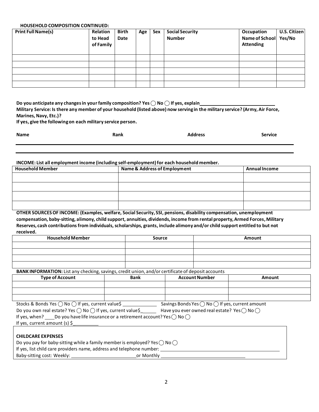#### **HOUSEHOLD COMPOSITION CONTINUED:**

| <b>Print Full Name(s)</b> | <b>Relation</b><br>to Head<br>of Family | <b>Birth</b><br>Date | Age | Sex | <b>Social Security</b><br><b>Number</b> | Occupation<br>Name of School Yes/No<br><b>Attending</b> | U.S. Citizen |
|---------------------------|-----------------------------------------|----------------------|-----|-----|-----------------------------------------|---------------------------------------------------------|--------------|
|                           |                                         |                      |     |     |                                         |                                                         |              |
|                           |                                         |                      |     |     |                                         |                                                         |              |
|                           |                                         |                      |     |     |                                         |                                                         |              |
|                           |                                         |                      |     |     |                                         |                                                         |              |
|                           |                                         |                      |     |     |                                         |                                                         |              |

**Do you anticipate any changesin yourfamily composition? Yes ⃝ No ⃝ If yes, explain**

Military Service: Is there any member of your household (listed above) now serving in the military service? (Army, Air Force, **Marines, Navy, Etc.)?**

**If yes, give the followingon each military service person.**

| <b>Name</b> | Rank | <b>Address</b> | <b>Service</b> |
|-------------|------|----------------|----------------|
|             |      |                |                |

#### **INCOME: List all employment income (including self-employment)for each household member.**

| <b>Household Member</b> | <b>Name &amp; Address of Employment</b> | <b>Annual Income</b> |  |
|-------------------------|-----------------------------------------|----------------------|--|
|                         |                                         |                      |  |
|                         |                                         |                      |  |
|                         |                                         |                      |  |
|                         |                                         |                      |  |

**OTHER SOURCESOF INCOME: (Examples, welfare, Social Security, SSI, pensions, disability compensation, unemployment compensation, baby-sitting, alimony, child support, annuities, dividends, income from rental property,Armed Forces,Military Reserves, cash contributionsfrom individuals,scholarships, grants, include alimony and/or child support entitled to but not received.**

| <b>Household Member</b> | Source | Amount |
|-------------------------|--------|--------|
|                         |        |        |
|                         |        |        |
|                         |        |        |
|                         |        |        |

BANK INFORMATION: List any checking, savings, credit union, and/or certificate of deposit accounts

| <b>Type of Account</b> | <b>Bank</b> | <b>Account Number</b> | Amount |
|------------------------|-------------|-----------------------|--------|
|                        |             |                       |        |
|                        |             |                       |        |
|                        |             |                       |        |

| Stocks & Bonds Yes ◯ No ◯ If yes, current value\$ | Savings Bonds Yes $\bigcirc$ No $\bigcirc$ If yes, current amount |
|---------------------------------------------------|-------------------------------------------------------------------|
|---------------------------------------------------|-------------------------------------------------------------------|

|               | Do you own real estate? Yes $\bigcirc$ No $\bigcirc$ If yes, current value\$    | Have you ever owned real estate? Yes $\bigcap$ No $\bigcap$ |
|---------------|---------------------------------------------------------------------------------|-------------------------------------------------------------|
| If yes, when? | _Do you have life insurance or a retirement account? Yes $\bigcap$ No $\bigcap$ |                                                             |

If yes, current amount (s) \$\_

| <b>CHILDCARE EXPENSES</b>                                                                 |  |
|-------------------------------------------------------------------------------------------|--|
| Do you pay for baby-sitting while a family member is employed? Yes $\bigcap$ No $\bigcap$ |  |
| If yes, list child care providers name, address and telephone number:                     |  |
| Baby-sitting cost: Weekly:<br>or Monthly                                                  |  |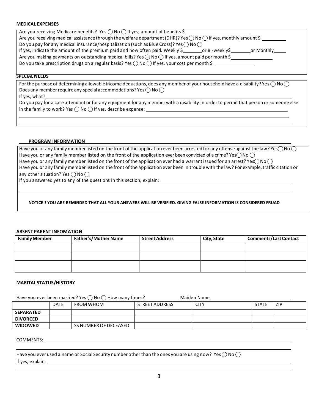#### **MEDICAL EXPENSES**

Are you receiving Medicare benefits? Yes  $\bigcap$  No  $\bigcap$  If yes, amount of benefits  $\zeta$ Are you receiving medical assistance through the welfare department (DHR)? Yes  $\bigcap$  No  $\bigcap$  If yes, monthly amount \$ Do you pay for any medical insurance/hospitalization (such as Blue Cross)? Yes  $\bigcirc$  No  $\bigcirc$ If yes, indicate the amount of the premium paid and how often paid. Weekly \$ \_ \_ \_ \_ or Bi-weekly\$ \_ \_ \_ \_ or Monthly \_ \_ \_ Are you making payments on outstanding medical bills? Yes  $\bigcirc$  No  $\bigcirc$  If yes, amount paid per month \$ Do you take prescription drugs on a regular basis? Yes  $\bigcirc$  No  $\bigcirc$  If yes, your cost per month \$

#### **SPECIALNEEDS**

For the purpose of determining allowable income deductions, does any member of your household have a disability? Yes  $\bigcap$  No  $\bigcap$ Does any member require any special accommodations? Yes  $\bigcap$  No  $\bigcap$ If yes, what?

Do you pay for a care attendant or for any equipment for any member with a disability in order to permit that person or someone else in the family to work? Yes  $\bigcirc$  No  $\bigcirc$  If yes, describe expense:

#### **PROGRAM INFORMATION**

Have you or any family member listed on the front of the application ever been arrested for any offense against the law? Yes $\bigcirc$ No  $\bigcirc$ Have you or any family member listed on the front of the application ever been convicted of a crime? Yes $\bigcap$ No  $\bigcap$ Have you or any family member listed on the front of the application ever had a warrant issued for an arrest? Yes $\bigcap$ No  $\bigcap$ Have you or any family memberlisted on the front of the application ever been in troublewith the law? For example, traffic citation or any other situation? Yes  $\bigcap$  No  $\bigcap$ 

If you answered yes to any of the questions in this section, explain:

#### **NOTICE!! YOU ARE REMINDED THAT ALL YOUR ANSWERS WILL BE VERIFIED. GIVING FALSE INFORMATION IS CONSIDERED FRUAD**

#### **ABSENT PARENT INFOMATION**

| <b>Family Member</b> | <b>Father's/Mother Name</b> | <b>Street Address</b> | City, State | <b>Comments/Last Contact</b> |
|----------------------|-----------------------------|-----------------------|-------------|------------------------------|
|                      |                             |                       |             |                              |
|                      |                             |                       |             |                              |
|                      |                             |                       |             |                              |

#### **MARITAL STATUS/HISTORY**

Have you ever been married? Yes  $\bigcirc$  No  $\bigcirc$  How many times? Maiden Name Maiden Name

|                  | <b>DATE</b> | <b>FROM WHOM</b>      | STREET ADDRESS | CITY | <b>STATE</b> | <b>ZIP</b> |
|------------------|-------------|-----------------------|----------------|------|--------------|------------|
| <b>SEPARATED</b> |             |                       |                |      |              |            |
| <b>DIVORCED</b>  |             |                       |                |      |              |            |
| <b>WIDOWED</b>   |             | SS NUMBER OF DECEASED |                |      |              |            |

COMMENTS:

|                  | Have you ever used a name or Social Security number other than the ones you are using now? Yes $\bigcap$ No $\bigcap$ |  |
|------------------|-----------------------------------------------------------------------------------------------------------------------|--|
| If yes, explain: |                                                                                                                       |  |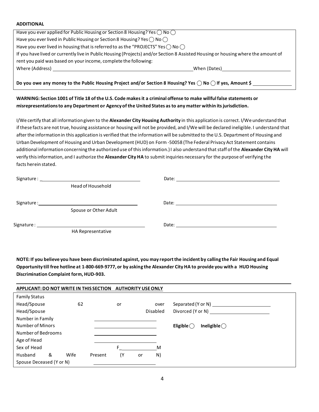#### **ADDITIONAL**

| Have you ever applied for Public Housing or Section 8 Housing? Yes $\bigcap$ No $\bigcap$                                                                                                            |              |
|------------------------------------------------------------------------------------------------------------------------------------------------------------------------------------------------------|--------------|
| Have you ever lived in Public Housing or Section 8 Housing? Yes $\bigcap$ No $\bigcap$                                                                                                               |              |
| Have you ever lived in housing that is referred to as the "PROJECTS" Yes $\bigcap$ No $\bigcap$                                                                                                      |              |
| If you have lived or currently live in Public Housing (Projects) and/or Section 8 Assisted Housing or housing where the amount of<br>rent you paid was based on your income, complete the following: |              |
| Where (Address)                                                                                                                                                                                      | When (Dates) |
|                                                                                                                                                                                                      |              |

Do you owe any money to the Public Housing Project and/or Section 8 Housing? Yes  $\bigcirc$  No  $\bigcirc$  If yes, Amount \$

#### WARNING: Section 1001 of Title 18 of the U.S. Code makes it a criminal offense to make willful false statements or **misrepresentationsto any Department or Agency of the United States asto any matter within itsjurisdiction.**

I/We certify that all informationgiven to the **Alexander City Housing Authority** in this application is correct. I/We understand that if these facts are not true, housing assistance or housing will not be provided, and I/We will be declared ineligible. I understand that afterthe informationin this application is verified that the information will be submitted to the U.S. Department of Housing and Urban Development of Housing and Urban Development (HUD) on Form -50058 (The Federal Privacy Act Statement contains additional informationconcerning the authorized use of thisinformation.)I also understand thatstaff of the **Alexander City HA** will verify thisinformation, and I authorize the **Alexander City HA** to submit inquiries necessary for the purpose of verifying the facts herein stated.

| Head of Household     |  |
|-----------------------|--|
|                       |  |
| Spouse or Other Adult |  |
|                       |  |
| HA Representative     |  |

NOTE: If you believe you have been discriminated against, you may report the incident by calling the Fair Housing and Equal Opportunity till free hotline at 1-800-669-9777, or by asking the Alexander City HA to provide you with a HUD Housing **Discrimination Complaint form, HUD-903.**

| <b>APPLICANT: DO NOT WRITE IN THIS SECTION</b> |      |         | <b>AUTHORITY USE ONLY</b> |    |                 |                                              |
|------------------------------------------------|------|---------|---------------------------|----|-----------------|----------------------------------------------|
| <b>Family Status</b>                           |      |         |                           |    |                 |                                              |
| Head/Spouse                                    | 62   |         | or                        |    | over            | Separated (Y or N) _______                   |
| Head/Spouse                                    |      |         |                           |    | <b>Disabled</b> |                                              |
| Number in Family                               |      |         |                           |    |                 |                                              |
| Number of Minors                               |      |         |                           |    |                 | Ineligible $\bigcirc$<br>Eligible $\bigcirc$ |
| Number of Bedrooms                             |      |         |                           |    |                 |                                              |
| Age of Head                                    |      |         |                           |    |                 |                                              |
| Sex of Head                                    |      |         |                           |    | M               |                                              |
| &<br>Husband                                   | Wife | Present | (Y                        | or | N)              |                                              |
| Spouse Deceased (Y or N)                       |      |         |                           |    |                 |                                              |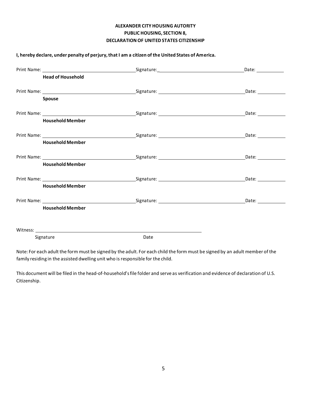### **ALEXANDER CITY HOUSING AUTORITY PUBLIC HOUSING, SECTION 8, DECLARATIONOF UNITED STATES CITIZENSHIP**

| <b>Head of Household</b> |                                                               | Date: $\_\_$ |
|--------------------------|---------------------------------------------------------------|--------------|
| Spouse                   |                                                               |              |
| <b>Household Member</b>  |                                                               |              |
| <b>Household Member</b>  |                                                               | Date: 1988   |
| <b>Household Member</b>  |                                                               | Date: 1988   |
| <b>Household Member</b>  |                                                               |              |
| <b>Household Member</b>  |                                                               | Date: $\_\_$ |
| Signature                | Witness: <u>New York: Witness State Communication</u><br>Date |              |

**I, hereby declare, under penalty of perjury,that I am a citizen of the United States of America.**

Note: For each adult the form must be signed by the adult. For each child the form must be signed by an adult member of the family residing in the assisted dwelling unit who is responsible for the child.

This document will be filed in the head-of-household'sfile folder and serve as verification and evidence of declaration of U.S. Citizenship.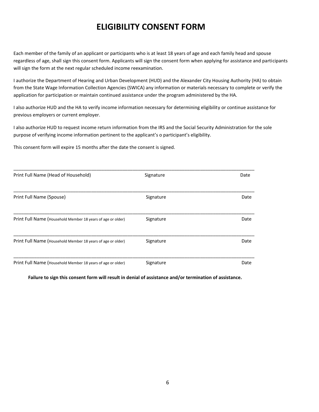# **ELIGIBILITY CONSENT FORM**

Each member of the family of an applicant or participants who is at least 18 years of age and each family head and spouse regardless of age, shall sign this consent form. Applicants will sign the consent form when applying for assistance and participants will sign the form at the next regular scheduled income reexamination.

I authorize the Department of Hearing and Urban Development (HUD) and the Alexander City Housing Authority (HA) to obtain from the State Wage Information Collection Agencies (SWICA) any information or materials necessary to complete or verify the application for participation or maintain continued assistance under the program administered by the HA.

I also authorize HUD and the HA to verify income information necessary for determining eligibility or continue assistance for previous employers or current employer.

I also authorize HUD to request income return information from the IRS and the Social Security Administration for the sole purpose of verifying income information pertinent to the applicant's o participant's eligibility.

This consent form will expire 15 months after the date the consent is signed.

| Print Full Name (Head of Household)                         | Signature | Date |
|-------------------------------------------------------------|-----------|------|
| Print Full Name (Spouse)                                    | Signature | Date |
| Print Full Name (Household Member 18 years of age or older) | Signature | Date |
| Print Full Name (Household Member 18 years of age or older) | Signature | Date |
| Print Full Name (Household Member 18 years of age or older) | Signature | Date |

 **Failure to sign this consent form will result in denial of assistance and/or termination of assistance.**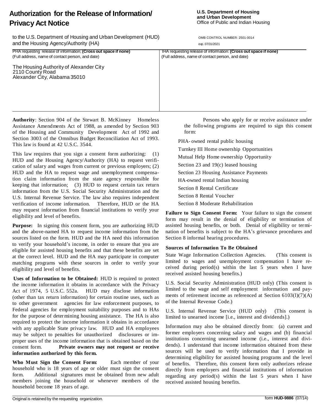# **Privacy Act Notice** to the U.S. Department of Housing and Urban Development (HUD) OMB CONTROL NUMBER: 2501-0014

**Authorization for the Release of Information/** 

and the Housing Agency/Authority (HA) exp. 07/31/2021

PHA requesting release of information; **(Cross out space if none)** IHA requesting release of information: **(Cross out space if none)** (Full address, name of contact person, and date) (Full address, name of contact person, and date)

The Housing Authority of Alexander City 2110 County Road Alexander City, Alabama 35010

**Authority**: Section 904 of the Stewart B. McKinney Homeless Assistance Amendments Act of 1988, as amended by Section 903 of the Housing and Community Development Act of 1992 and Section 3003 of the Omnibus Budget Reconciliation Act of 1993. This law is found at 42 U.S.C. 3544.

This law requires that you sign a consent form authorizing: (1) HUD and the Housing Agency/Authority (HA) to request verification of salary and wages from current or previous employers; (2) HUD and the HA to request wage and unemployment compensation claim information from the state agency responsible for keeping that information; (3) HUD to request certain tax return information from the U.S. Social Security Administration and the U.S. Internal Revenue Service. The law also requires independent verification of income information. Therefore, HUD or the HA may request information from financial institutions to verify your eligibility and level of benefits.

**Purpose:** In signing this consent form, you are authorizing HUD and the above-named HA to request income information from the sources listed on the form. HUD and the HA need this information to verify your household's income, in order to ensure that you are eligible for assisted housing benefits and that these benefits are set at the correct level. HUD and the HA may participate in computer matching programs with these sources in order to verify your eligibility and level of benefits.

**Uses of Information to be Obtained:** HUD is required to protect the income information it obtains in accordance with the Privacy Act of 1974, 5 U.S.C. 552a. HUD may disclose information (other than tax return information) for certain routine uses, such as to other government agencies for law enforcement purposes, to Federal agencies for employment suitability purposes and to HAs for the purpose of determining housing assistance. The HA is also required to protect the income information it obtains in accordance with any applicable State privacy law. HUD and HA employees may be subject to penalties for unauthorized disclosures or improper uses of the income information that is obtained based on the consent form. **Private owners may not request or receive information authorized by this form.**

**Who Must Sign the Consent Form:** Each member of your household who is 18 years of age or older must sign the consent form. Additional signatures must be obtained from new adult members joining the household or whenever members of the household become 18 years of age.

Persons who apply for or receive assistance under the following programs are required to sign this consent form:

PHA- owned rental public housing

- Turnkey III Home ownership Opportunities
- Mutual Help Home ownership Opportunity
- Section 23 and 19(c) leased housing
- Section 23 Housing Assistance Payments
- HA-owned rental Indian housing
- Section 8 Rental Certificate
- Section 8 Rental Voucher
- Section 8 Moderate Rehabilitation

**Failure to Sign Consent Form:** Your failure to sign the consent form may result in the denial of eligibility or termination of assisted housing benefits, or both. Denial of eligibility or termination of benefits is subject to the HA's grievance procedures and Section 8 informal hearing procedures.

### **Sources of Information To Be Obtained**

State Wage Information Collection Agencies. (This consent is limited to wages and unemployment compensation I have received during period(s) within the last 5 years when I have received assisted housing benefits.)

U.S. Social Security Administration (HUD only) (This consent is limited to the wage and self employment information and payments of retirement income as referenced at Section 6103(l)(7)(A) of the Internal Revenue Code.)

U.S. Internal Revenue Service (HUD only) (This consent is limited to unearned income [i.e., interest and dividends].)

Information may also be obtained directly from: (a) current and former employers concerning salary and wages and (b) financial institutions concerning unearned income (i.e., interest and dividends). I understand that income information obtained from these sources will be used to verify information that I provide in determining eligibility for assisted housing programs and the level of benefits. Therefore, this consent form only authorizes release directly from employers and financial institutions of information regarding any period(s) within the last 5 years when I have received assisted housing benefits.

#### **U.S. Department of Housing and Urban Development** Office of Public and Indian Housing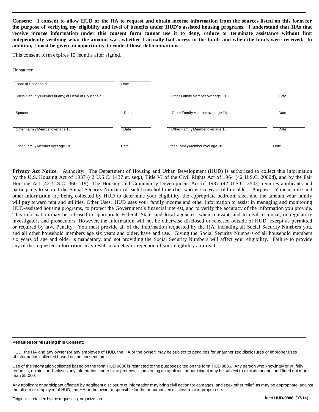Consent: I consent to allow HUD or the HA to request and obtain income information from the sources listed on this form for the purpose of verifying my eligibility and level of benefits under HUD's assisted housing programs. I understand that HAs that **receive income information under this consent form cannot use it to deny, reduce or terminate assistance without first**  independently verifying what the amount was, whether I actually had access to the funds and when the funds were received. In **addition, I must be given an opportunity to contest those determinations.**

This consent form expires 15 months after signed.

#### Signatures:

| Head of Household                                    | Date |                                 |      |
|------------------------------------------------------|------|---------------------------------|------|
| Social Security Number (if any) of Head of Household |      | Other Family Member over age 18 | Date |
| Spouse                                               | Date | Other Family Member over age 18 | Date |
| Other Family Member over age 18                      | Date | Other Family Member over age 18 | Date |
| Other Family Member over age 18                      | Date | Other Family Member over age 18 | Date |

**Privacy Act Notice.** Authority: The Department of Housing and Urban Development (HUD) is authorized to collect this information by the U.S. Housing Act of 1937 (42 U.S.C. 1437 et. seq.), Title VI of the Civil Rights Act of 1964 (42 U.S.C. 2000d), and by the Fair Housing Act (42 U.S.C. 3601-19). The Housing and Community Development Act of 1987 (42 U.S.C. 3543) requires applicants and participants to submit the Social Security Number of each household member who is six years old or older. Purpose: Your income and other information are being collected by HUD to determine your eligibility, the appropriate bedroom size, and the amount your family will pay toward rent and utilities. Other Uses: HUD uses your family income and other information to assist in managing and monitoring HUD-assisted housing programs, to protect the Government's financial interest, and to verify the accuracy of the information you provide. This information may be released to appropriate Federal, State, and local agencies, when relevant, and to civil, criminal, or regulatory investigators and prosecutors. However, the information will not be otherwise disclosed or released outside of HUD, except as permitted or required by law. Penalty: You must provide all of the information requested by the HA, including all Social Security Numbers you, and all other household members age six years and older, have and use. Giving the Social Security Numbers of all household members six years of age and older is mandatory, and not providing the Social Security Numbers will affect your eligibility. Failure to provide any of the requested information may result in a delay or rejection of your eligibility approval.

#### **Penalties for Misusing this Consent:**

HUD, the HA and any owner (or any employee of HUD, the HA or the owner) may be subject to penalties for unauthorized disclosures or improper uses of information collected based on the consent form.

Use of the information collected based on the form HUD 9886 is restricted to the purposes cited on the form HUD 9886. Any person who knowingly or willfully requests, obtains or discloses any information under false pretenses concerning an applicant or participant may be subject to a misdemeanor and fined not more than \$5,000.

Any applicant or participant affected by negligent disclosure of information may bring civil action for damages, and seek other relief, as may be appropriate, against the officer or employee of HUD, the HA or the owner responsible for the unauthorized disclosure or improper use.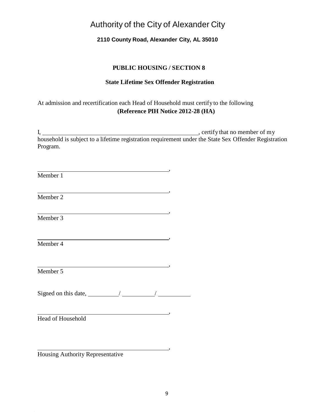# Authority of the City of Alexander City

# **2110 County Road, Alexander City, AL 35010**

### **PUBLIC HOUSING / SECTION 8**

### **State Lifetime Sex Offender Registration**

# At admission and recertification each Head of Household must certifyto the following **(Reference PIH Notice 2012-28 (HA)**

I, , certifythat no member of my household is subject to a lifetime registration requirement under the State Sex Offender Registration Program.

,

| Member 1                                     |                                                               |                                                                                                                                                                      |         |
|----------------------------------------------|---------------------------------------------------------------|----------------------------------------------------------------------------------------------------------------------------------------------------------------------|---------|
| Member 2                                     |                                                               |                                                                                                                                                                      | $\cdot$ |
| Member 3                                     |                                                               | $\overline{\phantom{a}}$ , and the contract of $\overline{\phantom{a}}$ , and $\overline{\phantom{a}}$ , and $\overline{\phantom{a}}$ , and $\overline{\phantom{a}}$ |         |
| Member 4                                     | <u> 1989 - Jan Stern Harrison, fransk politik (d. 1989)</u>   |                                                                                                                                                                      | ,,      |
| Member 5                                     |                                                               |                                                                                                                                                                      | ,       |
| Signed on this date, $\frac{1}{\sqrt{2\pi}}$ |                                                               |                                                                                                                                                                      |         |
| <b>Head of Household</b>                     | <u> 1980 - Andrea Barbara, Amerikaansk politiker († 1908)</u> |                                                                                                                                                                      | $\cdot$ |
|                                              |                                                               |                                                                                                                                                                      |         |

Housing Authority Representative

,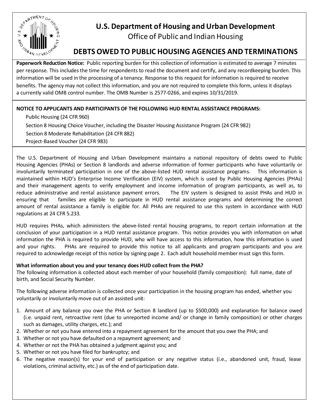

# **U.S. Department of Housing and Urban Development**

Office of Public and Indian Housing

# **DEBTS OWEDTO PUBLIC HOUSING AGENCIES AND TERMINATIONS**

**Paperwork Reduction Notice:** Public reporting burden for this collection of information is estimated to average 7 minutes per response. This includes the time for respondents to read the document and certify, and any recordkeeping burden. This information will be used in the processing of a tenancy. Response to this request for information is required to receive benefits. The agency may not collect this information, and you are not required to complete this form, unless it displays a currently valid OMB control number. The OMB Number is 2577-0266, and expires 10/31/2019.

### **NOTICE TO APPLICANTS AND PARTICIPANTS OF THE FOLLOWING HUD RENTAL ASSISTANCE PROGRAMS:**

Public Housing (24 CFR 960) Section 8 Housing Choice Voucher, including the Disaster Housing Assistance Program (24 CFR 982) Section 8 Moderate Rehabilitation (24 CFR 882) Project-Based Voucher (24 CFR 983)

The U.S. Department of Housing and Urban Development maintains a national repository of debts owed to Public Housing Agencies (PHAs) or Section 8 landlords and adverse information of former participants who have voluntarily or involuntarily terminated participation in one of the above-listed HUD rental assistance programs. This information is maintained within HUD's Enterprise Income Verification (EIV) system, which is used by Public Housing Agencies (PHAs) and their management agents to verify employment and income information of program participants, as well as, to reduce administrative and rental assistance payment errors. The EIV system is designed to assist PHAs and HUD in ensuring that families are eligible to participate in HUD rental assistance programs and determining the correct amount of rental assistance a family is eligible for. All PHAs are required to use this system in accordance with HUD regulations at 24 CFR 5.233.

HUD requires PHAs, which administers the above-listed rental housing programs, to report certain information at the conclusion of your participation in a HUD rental assistance program. This notice provides you with information on what information the PHA is required to provide HUD, who will have access to this information, how this information is used and your rights. PHAs are required to provide this notice to all applicants and program participants and you are required to acknowledge receipt of this notice by signing page 2. Each adult household member must sign this form.

### **What information about you and your tenancy does HUD collect from the PHA?**

The following information is collected about each member of your household (family composition): full name, date of birth, and Social Security Number.

The following adverse information is collected once your participation in the housing program has ended, whether you voluntarily or involuntarily move out of an assisted unit:

- 1. Amount of any balance you owe the PHA or Section 8 landlord (up to \$500,000) and explanation for balance owed (i.e. unpaid rent, retroactive rent (due to unreported income and/ or change in family composition) or other charges such as damages, utility charges, etc.); and
- 2. Whether or not you have entered into a repayment agreement for the amount that you owe the PHA; and
- 3. Whether or not you have defaulted on a repayment agreement; and
- 4. Whether or not the PHA has obtained a judgment against you; and
- 5. Whether or not you have filed for bankruptcy; and
- 6. The negative reason(s) for your end of participation or any negative status (i.e., abandoned unit, fraud, lease violations, criminal activity, etc.) as of the end of participation date.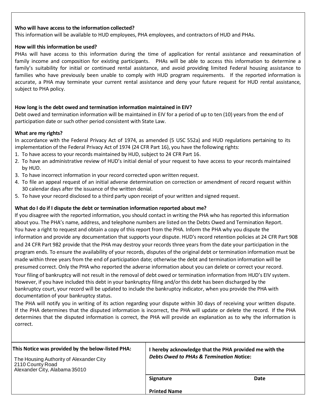#### **Who will have access to the information collected?**

This information will be available to HUD employees, PHA employees, and contractors of HUD and PHAs.

#### **How will this information be used?**

PHAs will have access to this information during the time of application for rental assistance and reexamination of family income and composition for existing participants. PHAs will be able to access this information to determine a family's suitability for initial or continued rental assistance, and avoid providing limited Federal housing assistance to families who have previously been unable to comply with HUD program requirements. If the reported information is accurate, a PHA may terminate your current rental assistance and deny your future request for HUD rental assistance, subject to PHA policy.

#### **How long is the debt owed and termination information maintained in EIV?**

Debt owed and termination information will be maintained in EIV for a period of up to ten (10) years from the end of participation date or such other period consistent with State Law.

#### **What are my rights?**

In accordance with the Federal Privacy Act of 1974, as amended (5 USC 552a) and HUD regulations pertaining to its implementation of the Federal Privacy Act of 1974 (24 CFR Part 16), you have the following rights:

- 1. To have access to your records maintained by HUD, subject to 24 CFR Part 16.
- 2. To have an administrative review of HUD's initial denial of your request to have access to your records maintained by HUD.
- 3. To have incorrect information in your record corrected upon written request.
- 4. To file an appeal request of an initial adverse determination on correction or amendment of record request within 30 calendar days after the issuance of the written denial.
- 5. To have your record disclosed to a third party upon receipt of your written and signed request.

#### **What do I do if I dispute the debt or termination information reported about me?**

If you disagree with the reported information, you should contact in writing the PHA who has reported this information about you. The PHA's name, address, and telephone numbers are listed on the Debts Owed and Termination Report. You have a right to request and obtain a copy of this report from the PHA. Inform the PHA why you dispute the information and provide any documentation that supports your dispute. HUD's record retention policies at 24 CFR Part 908 and 24 CFR Part 982 provide that the PHA may destroy your records three years from the date your participation in the program ends. To ensure the availability of your records, disputes of the original debt or termination information must be made within three years from the end of participation date; otherwise the debt and termination information will be presumed correct. Only the PHA who reported the adverse information about you can delete or correct your record. Your filing of bankruptcy will not result in the removal of debt owed or termination information from HUD's EIV system. However, if you have included this debt in your bankruptcy filing and/or this debt has been discharged by the bankruptcy court, your record will be updated to include the bankruptcy indicator, when you provide the PHA with documentation of your bankruptcy status.

The PHA will notify you in writing of its action regarding your dispute within 30 days of receiving your written dispute. If the PHA determines that the disputed information is incorrect, the PHA will update or delete the record. If the PHA determines that the disputed information is correct, the PHA will provide an explanation as to why the information is correct.

| This Notice was provided by the below-listed PHA:                                            | I hereby acknowledge that the PHA provided me with the |      |
|----------------------------------------------------------------------------------------------|--------------------------------------------------------|------|
| The Housing Authority of Alexander City<br>2110 County Road<br>Alexander City, Alabama 35010 | <b>Debts Owed to PHAs &amp; Termination Notice:</b>    |      |
|                                                                                              | Signature                                              | Date |
|                                                                                              | <b>Printed Name</b>                                    |      |